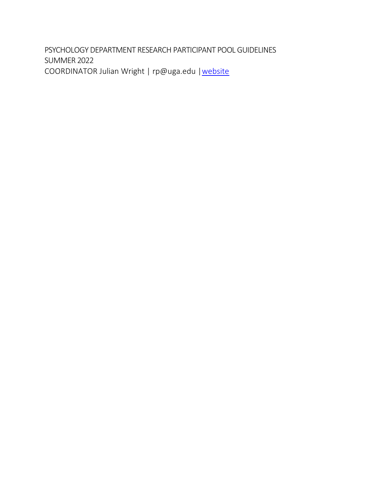PSYCHOLOGY DEPARTMENT RESEARCH PARTICIPANT POOL GUIDELINES SUMMER 2022 COORDINATOR Julian Wright | rp@uga.edu | website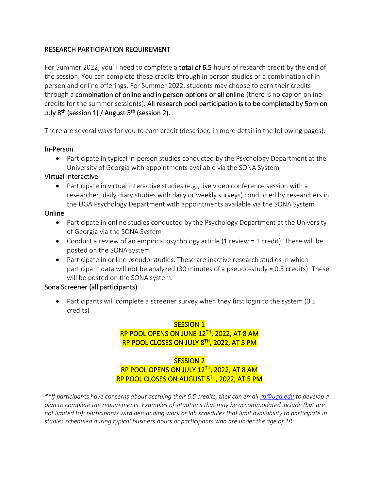## RESEARCH PARTICIPATION REQUIREMENT

For Summer 2022, you'll need to complete a **total of 6.5** hours of research credit by the end of the session. You can complete these credits through in person studies or a combination of inperson and online offerings. For Summer 2022, students may choose to earn their credits through a combination of online and in person options or all online (there is no cap on online credits for the summer session(s). All research pool participation is to be completed by 5pm on July 8<sup>th</sup> (session 1) / August 5<sup>th</sup> (session 2).

There are several ways for you to earn credit (described in more detail in the following pages):

## In-Person

• Participate in typical in-person studies conducted by the Psychology Department at the University of Georgia with appointments available via the SONA System

## Virtual Interactive

• Participate in virtual interactive studies (e.g., live video conference session with a researcher; daily diary studies with daily or weekly surveys) conducted by researchers in the UGA Psychology Department with appointments available via the SONA System

## **Online**

- Participate in online studies conducted by the Psychology Department at the University of Georgia via the SONA System
- Conduct a review of an empirical psychology article (1 review = 1 credit). These will be posted on the SONA system.
- Participate in online pseudo-studies. These are inactive research studies in which participant data will not be analyzed (30 minutes of a pseudo-study = 0.5 credits). These will be posted on the SONA system.

## Sona Screener (all participants)

• Participants will complete a screener survey when they first login to the system (0.5) credits)

## SESSION 1 RP POOL OPENS ON JUNE 12TH, 2022, AT 8 AM RP POOL CLOSES ON JULY 8TH, 2022, AT 5 PM

# SESSION 2 RP POOL OPENS ON JULY 12TH, 2022, AT 8 AM RP POOL CLOSES ON AUGUST 5TH, 2022, AT 5 PM

*\*\*If participants have concerns about accruing their 6.5 credits, they can email [rp@uga.edu](mailto:rp@uga.edu) to develop a plan to complete the requirements. Examples of situations that may be accommodated include (but are not limited to): participants with demanding work or lab schedules that limit availability to participate in studies scheduled during typical business hours or participants who are under the age of 18.*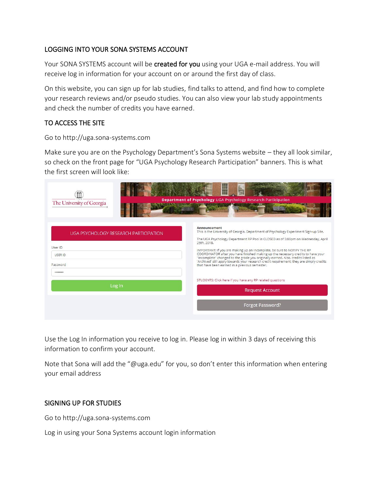# LOGGING INTO YOUR SONA SYSTEMS ACCOUNT

Your SONA SYSTEMS account will be created for you using your UGA e-mail address. You will receive log in information for your account on or around the first day of class.

On this website, you can sign up for lab studies, find talks to attend, and find how to complete your research reviews and/or pseudo studies. You can also view your lab study appointments and check the number of credits you have earned.

# TO ACCESS THE SITE

#### Go to http://uga.sona-systems.com

Make sure you are on the Psychology Department's Sona Systems website – they all look similar, so check on the front page for "UGA Psychology Research Participation" banners. This is what the first screen will look like:

| The University of Georgia                                                          | Department of Psychology UGA Psychology Research Participation                                                                                                                                                                                                                                                                                                                                                                                                                                                                                                                                          |
|------------------------------------------------------------------------------------|---------------------------------------------------------------------------------------------------------------------------------------------------------------------------------------------------------------------------------------------------------------------------------------------------------------------------------------------------------------------------------------------------------------------------------------------------------------------------------------------------------------------------------------------------------------------------------------------------------|
| UGA PSYCHOLOGY RESEARCH PARTICIPATION<br>User ID<br><b>USER ID</b><br>Password<br> | Announcement<br>This is the University of Georgia, Department of Psychology Experiment Sign-up Site.<br>The UGA Psychology Department RP Pool is CLOSED as of 5:00pm on Wednesday, April<br>25th, 2018.<br>IMPORTANT: If you are making up an Incomplete, be sure to NOTIFY THE RP<br>COORDINATOR after you have finished making up the necessary credits to have your<br>"Incomplete" changed to the grade you originally earned. Also, credits listed as<br>'Archived' still apply towards your research credit requirement; they are simply credits<br>that have been earned in a previous semester. |
| Log In                                                                             | STUDENTS: Click here if you have any RP related questions<br><b>Request Account</b>                                                                                                                                                                                                                                                                                                                                                                                                                                                                                                                     |
|                                                                                    | <b>Forgot Password?</b>                                                                                                                                                                                                                                                                                                                                                                                                                                                                                                                                                                                 |

Use the Log In information you receive to log in. Please log in within 3 days of receiving this information to confirm your account.

Note that Sona will add the "@uga.edu" for you, so don't enter this information when entering your email address

#### SIGNING UP FOR STUDIES

Go to http://uga.sona-systems.com

Log in using your Sona Systems account login information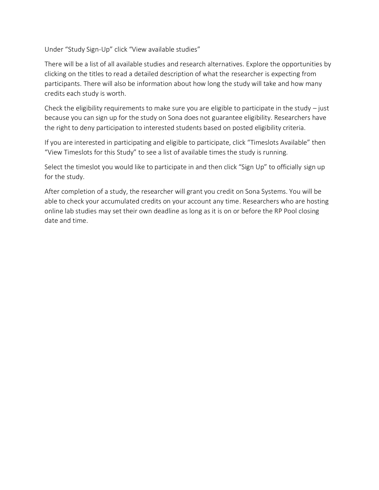Under "Study Sign-Up" click "View available studies"

There will be a list of all available studies and research alternatives. Explore the opportunities by clicking on the titles to read a detailed description of what the researcher is expecting from participants. There will also be information about how long the study will take and how many credits each study is worth.

Check the eligibility requirements to make sure you are eligible to participate in the study  $-$  just because you can sign up for the study on Sona does not guarantee eligibility. Researchers have the right to deny participation to interested students based on posted eligibility criteria.

If you are interested in participating and eligible to participate, click "Timeslots Available" then "View Timeslots for this Study" to see a list of available times the study is running.

Select the timeslot you would like to participate in and then click "Sign Up" to officially sign up for the study.

After completion of a study, the researcher will grant you credit on Sona Systems. You will be able to check your accumulated credits on your account any time. Researchers who are hosting online lab studies may set their own deadline as long as it is on or before the RP Pool closing date and time.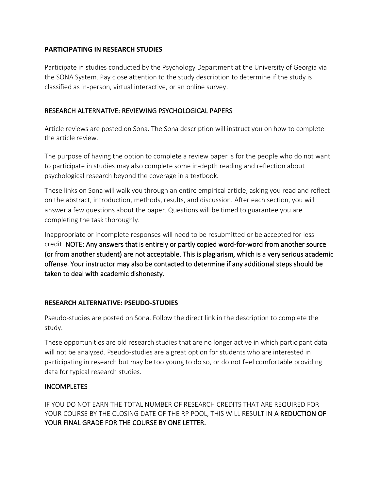#### **PARTICIPATING IN RESEARCH STUDIES**

Participate in studies conducted by the Psychology Department at the University of Georgia via the SONA System. Pay close attention to the study description to determine if the study is classified as in-person, virtual interactive, or an online survey.

## RESEARCH ALTERNATIVE: REVIEWING PSYCHOLOGICAL PAPERS

Article reviews are posted on Sona. The Sona description will instruct you on how to complete the article review.

The purpose of having the option to complete a review paper is for the people who do not want to participate in studies may also complete some in-depth reading and reflection about psychological research beyond the coverage in a textbook.

These links on Sona will walk you through an entire empirical article, asking you read and reflect on the abstract, introduction, methods, results, and discussion. After each section, you will answer a few questions about the paper. Questions will be timed to guarantee you are completing the task thoroughly.

Inappropriate or incomplete responses will need to be resubmitted or be accepted for less credit. NOTE: Any answers that is entirely or partly copied word-for-word from another source (or from another student) are not acceptable. This is plagiarism, which is a very serious academic offense. Your instructor may also be contacted to determine if any additional steps should be taken to deal with academic dishonesty.

## **RESEARCH ALTERNATIVE: PSEUDO-STUDIES**

Pseudo-studies are posted on Sona. Follow the direct link in the description to complete the study.

These opportunities are old research studies that are no longer active in which participant data will not be analyzed. Pseudo-studies are a great option for students who are interested in participating in research but may be too young to do so, or do not feel comfortable providing data for typical research studies.

## **INCOMPLETES**

IF YOU DO NOT EARN THE TOTAL NUMBER OF RESEARCH CREDITS THAT ARE REQUIRED FOR YOUR COURSE BY THE CLOSING DATE OF THE RP POOL, THIS WILL RESULT IN A REDUCTION OF YOUR FINAL GRADE FOR THE COURSE BY ONE LETTER.